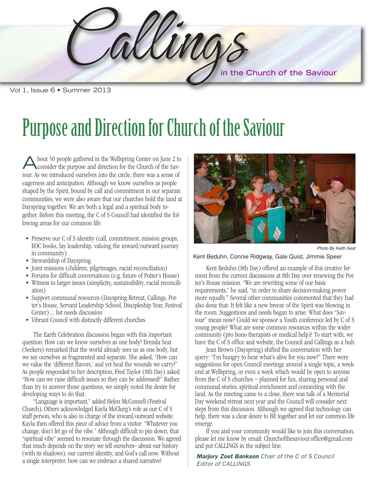Callings **in the Church of the Saviour**

Vol 1, Issue 6 • Summer 2013

### Purpose and Direction for Church of the Saviour

L lowing areas for our common life: bout 50 people gathered in the Wellspring Center on June 2 to consider the purpose and direction for the Church of the Saviour. As we introduced ourselves into the circle, there was a sense of eagerness and anticipation. Although we know ourselves as people shaped by the Spirit, bound by call and commitment in our separate communities, we were also aware that our churches hold the land at Dayspring together. We are both a legal and a spiritual body together. Before this meeting, the C of S Council had identified the fol-

- Preserve our C of S identity (call, commitment, mission groups, EOC books, lay leadership, valuing the inward/outward journey in community)
- Stewardship of Dayspring
- Joint missions (children, pilgrimages, racial reconciliation)
- Forums for difficult conversations (e.g. future of Potter's House)
- Witness to larger issues (simplicity, sustainability, racial reconciliation)
- • Support communal resources (Dayspring Retreat, Callings, Pot- $\frac{1}{1}$ ter's House, Servant Leadership School, Discipleship Year, Festival<br>Center) — list needs discussion Center) … list needs discussion
- Vibrant Council with distinctly different churches

we see outselves as hagherited and separate, one asked, now early two versus we value the 'different flavors,' and yet heal the wounds we carry?" w As people responded to her description, Fred Taylor (8th Day) asked than try to answer those questions, we simply noted the desire for A developing ways to do that. The Earth Celebration discussion began with this important question: How can we know ourselves as one body? Brenda Seat (Seekers) remarked that the world already sees us as one body, but we see ourselves as fragmented and separate. She asked, "How can "How can we raise difficult issues so they can be addressed?" Rather

A change, don't let go of the vibe." Although difficult to pin down, that bethad who seemed to resonate in ough the diseassion. We agree that much depends on the story we tell ourselves-- about our history w (with its shadows), our current identity, and God's call now. Without "Language is important," added Helen McConnell (Festival Church). Others acknowledged Kayla McClurg's role as our C of S staff person, who is also in charge of the inward/outward website. Kayla then offered this piece of advice from a visitor: "Whatever you "spiritual vibe" seemed to resonate through the discussion. We agreed a single interpreter, how can we embrace a shared narrative?



Photo By Keith Seat

#### Kent Beduhn, Connie Ridgway, Gale Quist, Jimmie Speer

Kent Beduhn (8th Day) offered an example of this creative fer-<br>Kennethe country biographs of the Day country and the Day ter's House mission. "We are rewriting some of our basic requirements," he said, "in order to share decision-making power also done that. It felt like a new breeze of the Spirit was blowing in the room. Suggestions and needs began to arise: What does "Savyoung people? What are some common resources within the wider ment from the current discussions at 8th Day over renewing the Potmore equally." Several other communities commented that they had iour" mean now? Could we sponsor a Youth conference led by C of S community (pro bono therapists or medical help)? To start with, we have the C of S office and website, the Council and Callings as a hub.

Jean Brown (Dayspring) shifted the conversation with her query: "I'm hungry to hear what's alive for you now?" There were suggestions for open Council meetings around a single topic, a weekend at Wellspring, or even a week which would be open to anyone from the C of S churches – planned for fun, sharing personal and communal stories, spiritual enrichment and connecting with the land. As the meeting came to a close, there was talk of a Memorial Day weekend retreat next year and the Council will consider next steps from this discussion. Although we agreed that technology can help, there was a clear desire to BE together and let our common life emerge.

If you and your community would like to join this conversation, please let me know by email: Churchofthesaviour.office@gmail.com and put CALLINGS in the subject line.

*Marjory Zoet Bankson Chair of the C of S Council Editor of CALLINGS*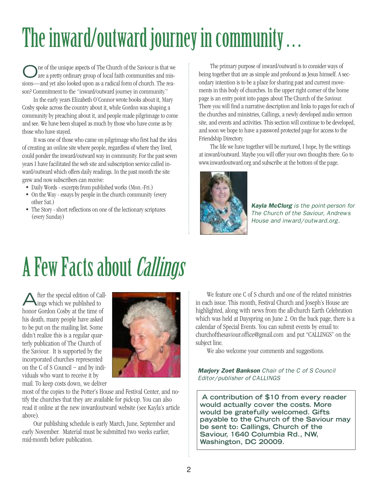## The inward/outward journey in community...

One of the unique aspects of The Church of the Saviour is that we are a pretty ordinary group of local faith communities and missions—and yet also looked upon as a radical form of church. The reason? Commitment to the "inward/outward journey in community."

In the early years Elizabeth O'Connor wrote books about it, Mary Cosby spoke across the country about it, while Gordon was shaping a community by preaching about it, and people made pilgrimage to come and see. We have been shaped as much by those who have come as by those who have stayed.

It was one of those who came on pilgrimage who first had the idea of creating an online site where people, regardless of where they lived, could ponder the inward/outward way in community. For the past seven years I have facilitated the web site and subscription service called inward/outward which offers daily readings. In the past month the site grew and now subscribers can receive:

- Daily Words excerpts from published works (Mon.-Fri.)
- On the Way essays by people in the church community (every other Sat.)
- The Story short reflections on one of the lectionary scriptures (every Sunday)

The primary purpose of inward/outward is to consider ways of being together that are as simple and profound as Jesus himself. A secondary intention is to be a place for sharing past and current movements in this body of churches. In the upper right corner of the home page is an entry point into pages about The Church of the Saviour. There you will find a narrative description and links to pages for each of the churches and ministries, Callings, a newly developed audio sermon site, and events and activities. This section will continue to be developed, and soon we hope to have a password protected page for access to the Friendship Directory.

The life we have together will be nurtured, I hope, by the writings at inward/outward. Maybe you will offer your own thoughts there. Go to www.inwardoutward.org and subscribe at the bottom of the page.



*Kayla McClurg is the point-person for The Church of the Saviour, Andrews House and inward/outward.org.*

## A Few Facts about *Callings*

After the special edition of Call-ings which we published to honor Gordon Cosby at the time of his death, many people have asked to be put on the mailing list. Some didn't realize this is a regular quarterly publication of The Church of the Saviour. It is supported by the incorporated churches represented on the C of S Council – and by individuals who want to receive it by mail. To keep costs down, we deliver



most of the copies to the Potter's House and Festival Center, and notify the churches that they are available for pick-up. You can also read it online at the new inwardoutward website (see Kayla's article above).

Our publishing schedule is early March, June, September and early November. Material must be submitted two weeks earlier, mid-month before publication.

We feature one C of S church and one of the related ministries in each issue. This month, Festival Church and Joseph's House are highlighted, along with news from the all-church Earth Celebration which was held at Dayspring on June 2. On the back page, there is a calendar of Special Events. You can submit events by email to: churchofthesaviour.office@gmail.com and put "CALLINGS" on the subject line.

We also welcome your comments and suggestions.

*Marjory Zoet Bankson Chair of the C of S Council Editor/publisher of CALLINGS*

**A contribution of \$10 from every reader would actually cover the costs. More would be gratefully welcomed. Gifts payable to the Church of the Saviour may be sent to: Callings, Church of the Saviour, 1640 Columbia Rd., NW, Washington, DC 20009.**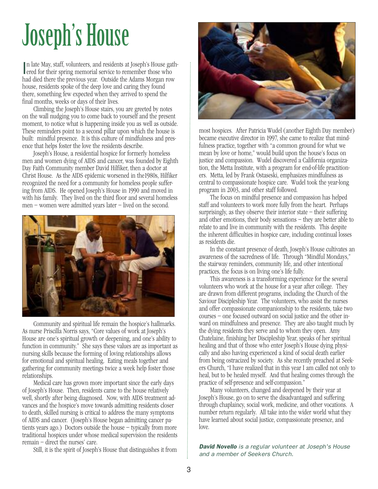## Joseph's House

In late May, staff, volunteers, and residents at Joseph's House galered for their spring memorial service to remember those who n late May, staff, volunteers, and residents at Joseph's House gathhad died there the previous year. Outside the Adams Morgan row house, residents spoke of the deep love and caring they found there, something few expected when they arrived to spend the final months, weeks or days of their lives.

Climbing the Joseph's House stairs, you are greeted by notes on the wall nudging you to come back to yourself and the present moment, to notice what is happening inside you as well as outside. These reminders point to a second pillar upon which the house is built: mindful presence. It is this culture of mindfulness and presence that helps foster the love the residents describe.

Joseph's House, a residential hospice for formerly homeless men and women dying of AIDS and cancer, was founded by Eighth Day Faith Community member David Hilfiker, then a doctor at Christ House. As the AIDS epidemic worsened in the1980s, Hilfiker recognized the need for a community for homeless people suffering from AIDS. He opened Joseph's House in 1990 and moved in with his family. They lived on the third floor and several homeless men – women were admitted years later – lived on the second.



Community and spiritual life remain the hospice's hallmarks. As nurse Priscilla Norris says, "Core values of work at Joseph's House are one's spiritual growth or deepening, and one's ability to function in community." She says these values are as important as nursing skills because the forming of loving relationships allows for emotional and spiritual healing. Eating meals together and gathering for community meetings twice a week help foster those relationships.

Medical care has grown more important since the early days of Joseph's House. Then, residents came to the house relatively well, shortly after being diagnosed. Now, with AIDS treatment advances and the hospice's move towards admitting residents closer to death, skilled nursing is critical to address the many symptoms of AIDS and cancer. (Joseph's House began admitting cancer patients years ago.) Doctors outside the house – typically from more traditional hospices under whose medical supervision the residents remain – direct the nurses' care.

Still, it is the spirit of Joseph's House that distinguishes it from



most hospices. After Patricia Wudel (another Eighth Day member) became executive director in 1997, she came to realize that mindfulness practice, together with "a common ground for what we mean by love or home," would build upon the house's focus on justice and compassion. Wudel discovered a California organization, the Metta Institute, with a program for end-of-life practitioners. Metta, led by Frank Ostaseski, emphasizes mindfulness as central to compassionate hospice care. Wudel took the year-long program in 2003, and other staff followed.

The focus on mindful presence and compassion has helped staff and volunteers to work more fully from the heart. Perhaps surprisingly, as they observe their interior state  $-$  their suffering and other emotions, their body sensations – they are better able to relate to and live in community with the residents. This despite the inherent difficulties in hospice care, including continual losses as residents die.

In the constant presence of death, Joseph's House cultivates an awareness of the sacredness of life. Through "Mindful Mondays," the stairway reminders, community life, and other intentional practices, the focus is on living one's life fully.

This awareness is a transforming experience for the several volunteers who work at the house for a year after college. They are drawn from different programs, including the Church of the Saviour Discipleship Year. The volunteers, who assist the nurses and offer compassionate companionship to the residents, take two courses – one focused outward on social justice and the other inward on mindfulness and presence. They are also taught much by the dying residents they serve and to whom they open. Amy Chatelaine, finishing her Discipleship Year, speaks of her spiritual healing and that of those who enter Joseph's House dying physically and also having experienced a kind of social death earlier from being ostracized by society. As she recently preached at Seekers Church, "I have realized that in this year I am called not only to heal, but to be healed myself. And that healing comes through the practice of self-presence and self-compassion."

Many volunteers, changed and deepened by their year at Joseph's House, go on to serve the disadvantaged and suffering through chaplaincy, social work, medicine, and other vocations. A number return regularly. All take into the wider world what they have learned about social justice, compassionate presence, and love.

*David Novello is a regular volunteer at Joseph's House and a member of Seekers Church.*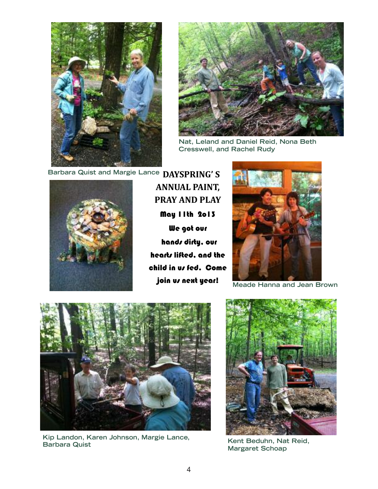



 $R$ at, Leland and Daniel Reid, Nona Beth **Cresswell, and Rachel Rudy**



**ANNUAL PAINT, PRAY AND PLAY** May 11th 2o13 We got our hands dirty, our hearts lifted, and the child in us fed. Come join us next year!



**Meade Hanna and Jean Brown** 



**Kip Landon, Karen Johnson, Margie Lance,**<br>Barbara Quist **Barbara Quist Kent Beduhn, Nat Reid,**



**Margaret Schoap**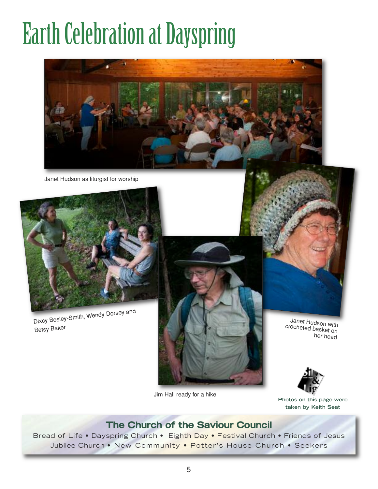# **Earth Celebration at Dayspring**



Janet Hudson as liturgist for worship



Dixcy Bosley-Smith, Wendy Dorsey and Betsy Baker



Jim Hall ready for a hike

cr ocheted basket on Janet Hudson with her head



**Photos on this page were taken by Keith Seat**

### **The Church of the Saviour Council**

Bread of Life • Dayspring Church • Eighth Day • Festival Church • Friends of Jesus Jubilee Church • New Community • Potter's House Church • Seekers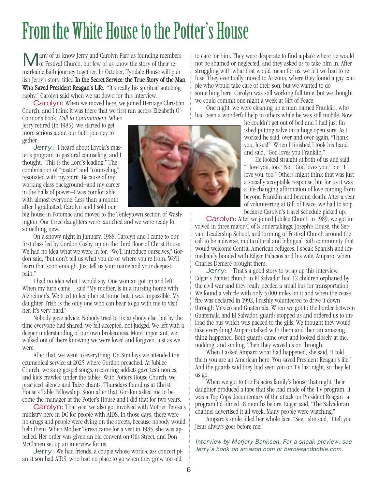### From the White House to the Potter's House

Many of us know Jerry and Carolyn Parr as founding members of Festival Church, but few of us know the story of their remarkable faith journey together. In October, Tyndale House will publish Jerry's story, titled In the Secret Service: the True Story of the Man Who Saved President Reagan's Life. "It's really his spiritual autobiography," Carolyn said when we sat down for this interview.

Carolyn: When we moved here, we joined Heritage Christian Church, and I think it was there that we first ran across Elizabeth O'- Connor's book, Call to Commitment. When

Jerry retired (in 1985), we started to get more serious about our faith journey together.

Jerry: I heard about Loyola's master's program in pastoral counseling, and I thought, "This is the Lord's leading." The combination of "pastor" and "counseling" resonated with my spirit. Because of my working class background—and my career in the halls of power—I was comfortable with almost everyone. Less than a month after I graduated, Carolyn and I sold our

big house in Potomac and moved to the Tenleytown section of Washington. Our three daughters were launched and we were ready for something new.

On a snowy night in January, 1988, Carolyn and I came to our first class led by Gordon Cosby, up on the third floor of Christ House. We had no idea what we were in for. "We'll introduce ourselves," Gordon said, "but don't tell us what you do or where you're from. We'll learn that soon enough. Just tell us your name and your deepest pain."

I had no idea what I would say. One woman got up and left. When my turn came, I said "My mother, is in a nursing home with Alzheimer's. We tried to keep her at home but it was impossible. My daughter Trish is the only one who can bear to go with me to visit her. It's very hard."

Nobody gave advice. Nobody tried to fix anybody else, but by the time everyone had shared, we felt accepted, not judged. We left with a deeper understanding of our own brokenness. More important, we walked out of there knowing we were loved and forgiven, just as we were.

After that, we went to everything. On Sundays we attended the ecumenical service at 2025 where Gordon preached. At Jubilee Church, we sang gospel songs, recovering addicts gave testimonies, and kids crawled under the tables. With Potters House Church, we practiced silence and Taize chants. Thursdays found us at Christ House's Table Fellowship. Soon after that, Gordon asked me to become the manager at the Potter's House and I did that for two years.

Carolyn: That year we also got involved with Mother Teresa's ministry here in DC for people with AIDS. In those days, there were no drugs and people were dying on the streets, because nobody would help them. When Mother Teresa came for a visit in 1985, she was appalled. Her order was given an old convent on Otis Street, and Don McClanen set up an interview for us.

Jerry: We had friends, a couple whose world-class concert pianist son had AIDS, who had no place to go when they grew too old



to care for him. They were desperate to find a place where he would not be shamed or neglected, and they asked us to take him in. After struggling with what that would mean for us, we felt we had to refuse. They eventually moved to Arizona, where they found a gay couple who would take care of their son, but we wanted to do something here. Carolyn was still working full time, but we thought we could commit one night a week at Gift of Peace.

One night, we were cleaning up a man named Franklin, who had been a wonderful help to others while he was still mobile. Now

he couldn't get out of bed and I had just finished putting salve on a huge open sore. As I worked he said, over and over again, "Thank you, Jesus!" When I finished I took his hand and said, "God loves you Franklin."

He looked straight at both of us and said, "I love you, too." Not "God loves you," but "I love you, too." Others might think that was just a socially acceptable response, but for us it was a life-changing affirmation of love coming from beyond Franklin and beyond death. After a year of volunteering at Gift of Peace, we had to stop because Carolyn's travel schedule picked up.

Carolyn: After we joined Jubilee Church in 1989, we got involved in three major C of S undertakings: Joseph's House, the Servant Leadership School, and forming of Festival Church around the call to be a diverse, multicultural and bilingual faith community that would welcome Central American refugees. I speak Spanish and immediately bonded with Edgar Palacios and his wife, Amparo, when Charles Demeré brought them.

Jerry: That's a good story to wrap up this interview. Edgar's Baptist church in El Salvador had 12 children orphaned by the civil war and they really needed a small bus for transportation. We found a vehicle with only 5,000 miles on it and when the cease fire was declared in 1992, I rashly volunteered to drive it down through Mexico and Guatemala. When we got to the border between Guatemala and El Salvador, guards stopped us and ordered us to unload the bus which was packed to the gills. We thought they would take everything! Amparo talked with them and then an amazing thing happened. Both guards came over and looked closely at me, nodding, and smiling. Then they waved us on through.

When I asked Amparo what had happened, she said, "I told them you are an American hero. You saved President Reagan's life." And the guards said they had seen you on TV last night, so they let us go.

When we got to the Palacios family's house that night, their daughter produced a tape that she had made of the TV program. It was a Top Cops documentary of the attack on President Reagan—a program I'd filmed 18 months before. Edgar said, "The Salvadoran channel advertised it all week. Many people were watching."

Amparo's smile filled her whole face. "See," she said, "I tell you Jesus always goes before me."

*Interview by Marjory Bankson. For a sneak preview, see Jerry's book on amazon.com or barnesandnoble.com.*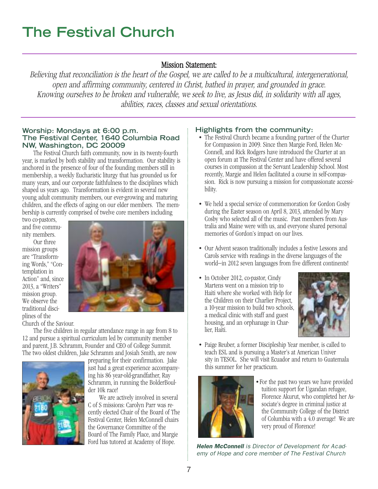### **The Festival Church**

### Mission Statement:

Believing that reconciliation is the heart of the Gospel, we are called to be <sup>a</sup> multicultural, intergenerational, open and affirming community, centered in Christ, bathed in prayer, and grounded in grace. Knowing ourselves to be broken and vulnerable, we seek to live, as Jesus did, in solidarity with all ages, abilities, races, classes and sexual orientations.

#### **Worship: Mondays at 6:00 p.m. The Festival Center, 1640 Columbia Road NW, Washington, DC 20009**

The Festival Church faith community, now in its twenty-fourth year, is marked by both stability and transformation. Our stability is anchored in the presence of four of the founding members still in membership, a weekly Eucharistic liturgy that has grounded us for many years, and our corporate faithfulness to the disciplines which shaped us years ago. Transformation is evident in several new young adult community members, our ever-growing and maturing children, and the effects of aging on our elder members. The membership is currently comprised of twelve core members including

two co-pastors, and five community members.

Our three mission groups are "Transforming Words," "Contemplation in Action" and, since 2013, a "Writers" mission group. We observe the traditional disciplines of the

Church of the Saviour.



The five children in regular attendance range in age from 8 to 12 and pursue a spiritual curriculum led by community member and parent, J.B. Schramm, Founder and CEO of College Summit. The two oldest children, Jake Schramm and Josiah Smith, are now



preparing for their confirmation. Jake just had a great experience accompanying his 86 year-old-grandfather, Ray Schramm, in running the BolderBoulder 10k race!

We are actively involved in several C of S missions: Carolyn Parr was recently elected Chair of the Board of The Festival Center, Helen McConnell chairs the Governance Committee of the Board of The Family Place, and Margie Ford has tutored at Academy of Hope.

#### **Highlights from the community:**

- The Festival Church became a founding partner of the Charter for Compassion in 2009. Since then Margie Ford, Helen Mc-Connell, and Rick Rodgers have introduced the Charter at an open forum at The Festival Center and have offered several courses in compassion at the Servant Leadership School. Most recently, Margie and Helen facilitated a course in self-compassion. Rick is now pursuing a mission for compassionate accessibility.
- We held a special service of commemoration for Gordon Cosby during the Easter season on April 8, 2013, attended by Mary Cosby who selected all of the music. Past members from Australia and Maine were with us, and everyone shared personal memories of Gordon's impact on our lives.
- Our Advent season traditionally includes a festive Lessons and Carols service with readings in the diverse languages of the world—in 2012 seven languages from five different continents!
- In October 2012, co-pastor, Cindy Martens went on a mission trip to Haiti where she worked with Help for the Children on their Charlier Project, a 10-year mission to build two schools, a medical clinic with staff and guest housing, and an orphanage in Charlier, Haiti.



• Paige Reuber, a former Discipleship Year member, is called to teach ESL and is pursuing a Master's at American Univer sity in TESOL. She will visit Ecuador and return to Guatemala this summer for her practicum.



•For the past two years we have provided tuition support for Ugandan refugee, Florence Akurut, who completed her Associate's degree in criminal justice at the Community College of the District of Columbia with a 4.0 average! We are very proud of Florence!

*Helen McConnell is Director of Development for Academy of Hope and core member of The Festival Church*